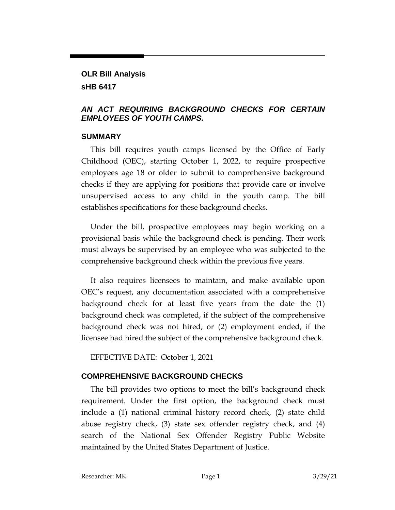# **OLR Bill Analysis sHB 6417**

### *AN ACT REQUIRING BACKGROUND CHECKS FOR CERTAIN EMPLOYEES OF YOUTH CAMPS.*

### **SUMMARY**

This bill requires youth camps licensed by the Office of Early Childhood (OEC), starting October 1, 2022, to require prospective employees age 18 or older to submit to comprehensive background checks if they are applying for positions that provide care or involve unsupervised access to any child in the youth camp. The bill establishes specifications for these background checks.

Under the bill, prospective employees may begin working on a provisional basis while the background check is pending. Their work must always be supervised by an employee who was subjected to the comprehensive background check within the previous five years.

It also requires licensees to maintain, and make available upon OEC's request, any documentation associated with a comprehensive background check for at least five years from the date the (1) background check was completed, if the subject of the comprehensive background check was not hired, or (2) employment ended, if the licensee had hired the subject of the comprehensive background check.

EFFECTIVE DATE: October 1, 2021

# **COMPREHENSIVE BACKGROUND CHECKS**

The bill provides two options to meet the bill's background check requirement. Under the first option, the background check must include a (1) national criminal history record check, (2) state child abuse registry check, (3) state sex offender registry check, and (4) search of the National Sex Offender Registry Public Website maintained by the United States Department of Justice.